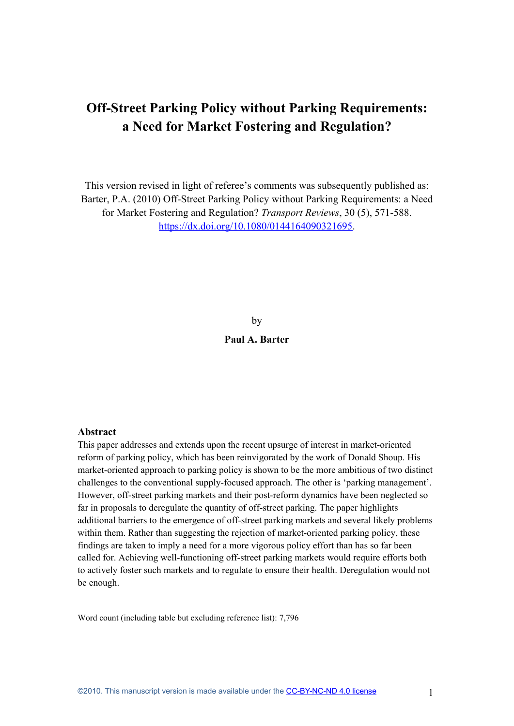# **Off-Street Parking Policy without Parking Requirements: a Need for Market Fostering and Regulation?**

This version revised in light of referee's comments was subsequently published as: Barter, P.A. (2010) Off-Street Parking Policy without Parking Requirements: a Need for Market Fostering and Regulation? *Transport Reviews*, 30 (5), 571-588. <https://dx.doi.org/10.1080/0144164090321695>.

> by **Paul A. Barter**

#### **Abstract**

This paper addresses and extends upon the recent upsurge of interest in market-oriented reform of parking policy, which has been reinvigorated by the work of Donald Shoup. His market-oriented approach to parking policy is shown to be the more ambitious of two distinct challenges to the conventional supply-focused approach. The other is 'parking management'. However, off-street parking markets and their post-reform dynamics have been neglected so far in proposals to deregulate the quantity of off-street parking. The paper highlights additional barriers to the emergence of off-street parking markets and several likely problems within them. Rather than suggesting the rejection of market-oriented parking policy, these findings are taken to imply a need for a more vigorous policy effort than has so far been called for. Achieving well-functioning off-street parking markets would require efforts both to actively foster such markets and to regulate to ensure their health. Deregulation would not be enough.

Word count (including table but excluding reference list): 7,796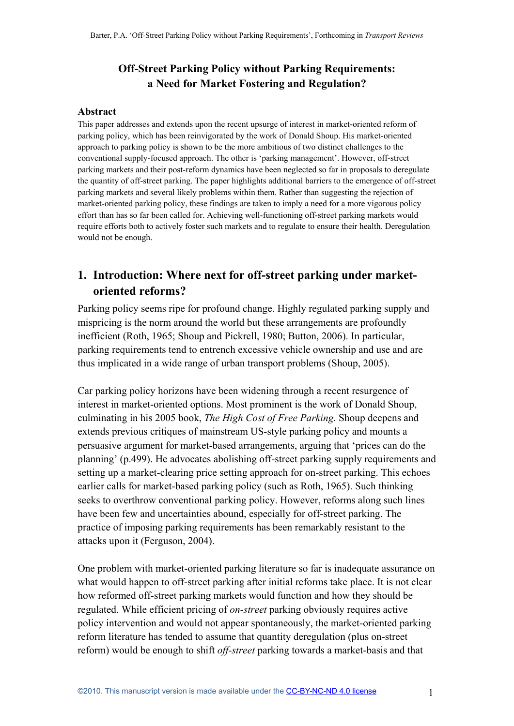# **Off-Street Parking Policy without Parking Requirements: a Need for Market Fostering and Regulation?**

#### **Abstract**

This paper addresses and extends upon the recent upsurge of interest in market-oriented reform of parking policy, which has been reinvigorated by the work of Donald Shoup. His market-oriented approach to parking policy is shown to be the more ambitious of two distinct challenges to the conventional supply-focused approach. The other is 'parking management'. However, off-street parking markets and their post-reform dynamics have been neglected so far in proposals to deregulate the quantity of off-street parking. The paper highlights additional barriers to the emergence of off-street parking markets and several likely problems within them. Rather than suggesting the rejection of market-oriented parking policy, these findings are taken to imply a need for a more vigorous policy effort than has so far been called for. Achieving well-functioning off-street parking markets would require efforts both to actively foster such markets and to regulate to ensure their health. Deregulation would not be enough.

# **1. Introduction: Where next for off-street parking under marketoriented reforms?**

Parking policy seems ripe for profound change. Highly regulated parking supply and mispricing is the norm around the world but these arrangements are profoundly inefficient (Roth, 1965; Shoup and Pickrell, 1980; Button, 2006). In particular, parking requirements tend to entrench excessive vehicle ownership and use and are thus implicated in a wide range of urban transport problems (Shoup, 2005).

Car parking policy horizons have been widening through a recent resurgence of interest in market-oriented options. Most prominent is the work of Donald Shoup, culminating in his 2005 book, *The High Cost of Free Parking*. Shoup deepens and extends previous critiques of mainstream US-style parking policy and mounts a persuasive argument for market-based arrangements, arguing that 'prices can do the planning' (p.499). He advocates abolishing off-street parking supply requirements and setting up a market-clearing price setting approach for on-street parking. This echoes earlier calls for market-based parking policy (such as Roth, 1965). Such thinking seeks to overthrow conventional parking policy. However, reforms along such lines have been few and uncertainties abound, especially for off-street parking. The practice of imposing parking requirements has been remarkably resistant to the attacks upon it (Ferguson, 2004).

One problem with market-oriented parking literature so far is inadequate assurance on what would happen to off-street parking after initial reforms take place. It is not clear how reformed off-street parking markets would function and how they should be regulated. While efficient pricing of *on-street* parking obviously requires active policy intervention and would not appear spontaneously, the market-oriented parking reform literature has tended to assume that quantity deregulation (plus on-street reform) would be enough to shift *off-street* parking towards a market-basis and that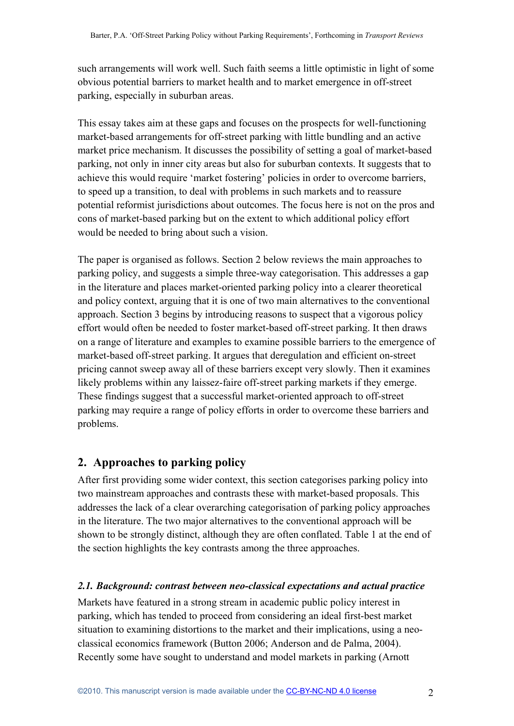such arrangements will work well. Such faith seems a little optimistic in light of some obvious potential barriers to market health and to market emergence in off-street parking, especially in suburban areas.

This essay takes aim at these gaps and focuses on the prospects for well-functioning market-based arrangements for off-street parking with little bundling and an active market price mechanism. It discusses the possibility of setting a goal of market-based parking, not only in inner city areas but also for suburban contexts. It suggests that to achieve this would require 'market fostering' policies in order to overcome barriers, to speed up a transition, to deal with problems in such markets and to reassure potential reformist jurisdictions about outcomes. The focus here is not on the pros and cons of market-based parking but on the extent to which additional policy effort would be needed to bring about such a vision.

The paper is organised as follows. Section 2 below reviews the main approaches to parking policy, and suggests a simple three-way categorisation. This addresses a gap in the literature and places market-oriented parking policy into a clearer theoretical and policy context, arguing that it is one of two main alternatives to the conventional approach. Section 3 begins by introducing reasons to suspect that a vigorous policy effort would often be needed to foster market-based off-street parking. It then draws on a range of literature and examples to examine possible barriers to the emergence of market-based off-street parking. It argues that deregulation and efficient on-street pricing cannot sweep away all of these barriers except very slowly. Then it examines likely problems within any laissez-faire off-street parking markets if they emerge. These findings suggest that a successful market-oriented approach to off-street parking may require a range of policy efforts in order to overcome these barriers and problems.

# **2. Approaches to parking policy**

After first providing some wider context, this section categorises parking policy into two mainstream approaches and contrasts these with market-based proposals. This addresses the lack of a clear overarching categorisation of parking policy approaches in the literature. The two major alternatives to the conventional approach will be shown to be strongly distinct, although they are often conflated. Table 1 at the end of the section highlights the key contrasts among the three approaches.

# *2.1. Background: contrast between neo-classical expectations and actual practice*

Markets have featured in a strong stream in academic public policy interest in parking, which has tended to proceed from considering an ideal first-best market situation to examining distortions to the market and their implications, using a neoclassical economics framework (Button 2006; Anderson and de Palma, 2004). Recently some have sought to understand and model markets in parking (Arnott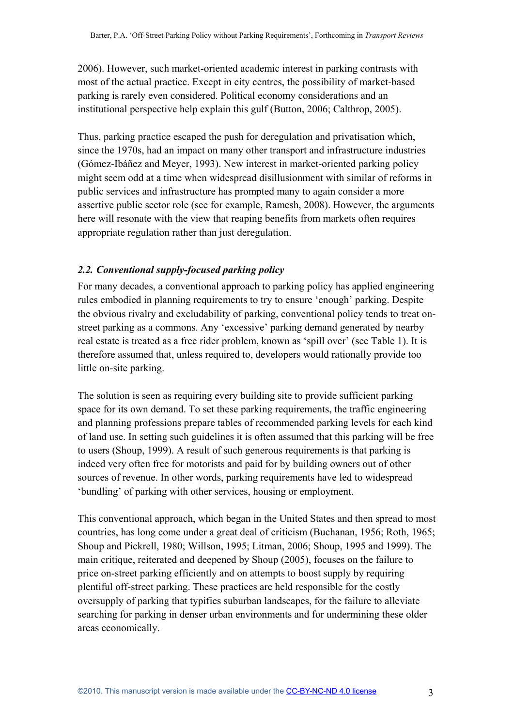2006). However, such market-oriented academic interest in parking contrasts with most of the actual practice. Except in city centres, the possibility of market-based parking is rarely even considered. Political economy considerations and an institutional perspective help explain this gulf (Button, 2006; Calthrop, 2005).

Thus, parking practice escaped the push for deregulation and privatisation which, since the 1970s, had an impact on many other transport and infrastructure industries (Gómez-Ibáñez and Meyer, 1993). New interest in market-oriented parking policy might seem odd at a time when widespread disillusionment with similar of reforms in public services and infrastructure has prompted many to again consider a more assertive public sector role (see for example, Ramesh, 2008). However, the arguments here will resonate with the view that reaping benefits from markets often requires appropriate regulation rather than just deregulation.

#### *2.2. Conventional supply-focused parking policy*

For many decades, a conventional approach to parking policy has applied engineering rules embodied in planning requirements to try to ensure 'enough' parking. Despite the obvious rivalry and excludability of parking, conventional policy tends to treat onstreet parking as a commons. Any 'excessive' parking demand generated by nearby real estate is treated as a free rider problem, known as 'spill over' (see Table 1). It is therefore assumed that, unless required to, developers would rationally provide too little on-site parking.

The solution is seen as requiring every building site to provide sufficient parking space for its own demand. To set these parking requirements, the traffic engineering and planning professions prepare tables of recommended parking levels for each kind of land use. In setting such guidelines it is often assumed that this parking will be free to users (Shoup, 1999). A result of such generous requirements is that parking is indeed very often free for motorists and paid for by building owners out of other sources of revenue. In other words, parking requirements have led to widespread 'bundling' of parking with other services, housing or employment.

This conventional approach, which began in the United States and then spread to most countries, has long come under a great deal of criticism (Buchanan, 1956; Roth, 1965; Shoup and Pickrell, 1980; Willson, 1995; Litman, 2006; Shoup, 1995 and 1999). The main critique, reiterated and deepened by Shoup (2005), focuses on the failure to price on-street parking efficiently and on attempts to boost supply by requiring plentiful off-street parking. These practices are held responsible for the costly oversupply of parking that typifies suburban landscapes, for the failure to alleviate searching for parking in denser urban environments and for undermining these older areas economically.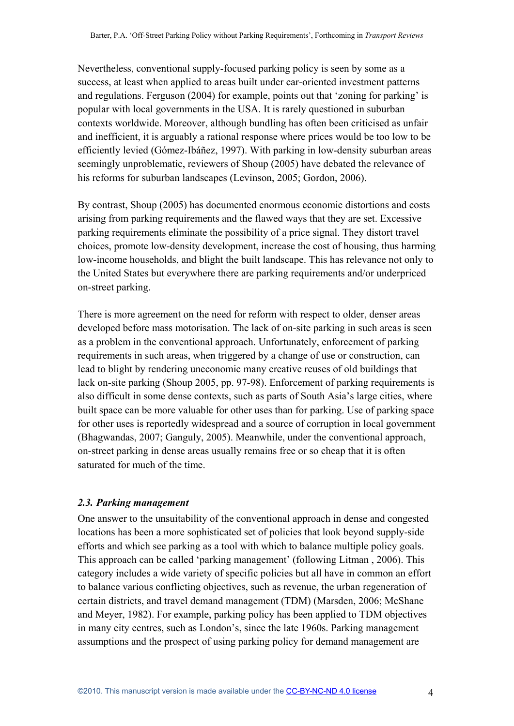Nevertheless, conventional supply-focused parking policy is seen by some as a success, at least when applied to areas built under car-oriented investment patterns and regulations. Ferguson (2004) for example, points out that 'zoning for parking' is popular with local governments in the USA. It is rarely questioned in suburban contexts worldwide. Moreover, although bundling has often been criticised as unfair and inefficient, it is arguably a rational response where prices would be too low to be efficiently levied (Gómez-Ibáñez, 1997). With parking in low-density suburban areas seemingly unproblematic, reviewers of Shoup (2005) have debated the relevance of his reforms for suburban landscapes (Levinson, 2005; Gordon, 2006).

By contrast, Shoup (2005) has documented enormous economic distortions and costs arising from parking requirements and the flawed ways that they are set. Excessive parking requirements eliminate the possibility of a price signal. They distort travel choices, promote low-density development, increase the cost of housing, thus harming low-income households, and blight the built landscape. This has relevance not only to the United States but everywhere there are parking requirements and/or underpriced on-street parking.

There is more agreement on the need for reform with respect to older, denser areas developed before mass motorisation. The lack of on-site parking in such areas is seen as a problem in the conventional approach. Unfortunately, enforcement of parking requirements in such areas, when triggered by a change of use or construction, can lead to blight by rendering uneconomic many creative reuses of old buildings that lack on-site parking (Shoup 2005, pp. 97-98). Enforcement of parking requirements is also difficult in some dense contexts, such as parts of South Asia's large cities, where built space can be more valuable for other uses than for parking. Use of parking space for other uses is reportedly widespread and a source of corruption in local government (Bhagwandas, 2007; Ganguly, 2005). Meanwhile, under the conventional approach, on-street parking in dense areas usually remains free or so cheap that it is often saturated for much of the time.

#### *2.3. Parking management*

One answer to the unsuitability of the conventional approach in dense and congested locations has been a more sophisticated set of policies that look beyond supply-side efforts and which see parking as a tool with which to balance multiple policy goals. This approach can be called 'parking management' (following Litman , 2006). This category includes a wide variety of specific policies but all have in common an effort to balance various conflicting objectives, such as revenue, the urban regeneration of certain districts, and travel demand management (TDM) (Marsden, 2006; McShane and Meyer, 1982). For example, parking policy has been applied to TDM objectives in many city centres, such as London's, since the late 1960s. Parking management assumptions and the prospect of using parking policy for demand management are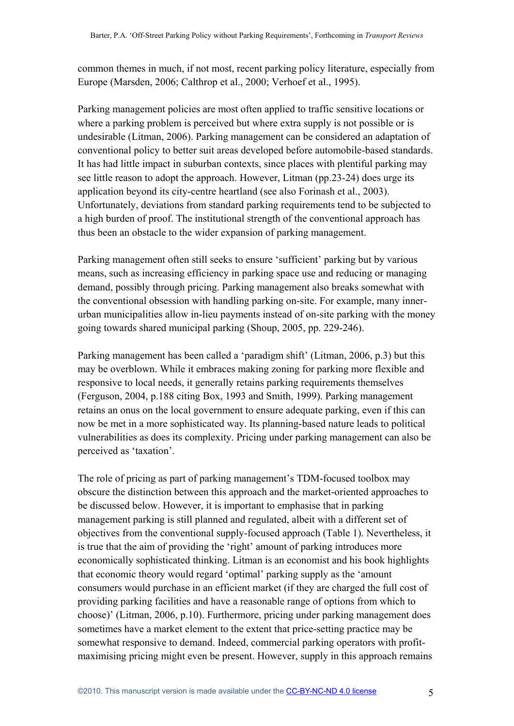common themes in much, if not most, recent parking policy literature, especially from Europe (Marsden, 2006; Calthrop et al., 2000; Verhoef et al., 1995).

Parking management policies are most often applied to traffic sensitive locations or where a parking problem is perceived but where extra supply is not possible or is undesirable (Litman, 2006). Parking management can be considered an adaptation of conventional policy to better suit areas developed before automobile-based standards. It has had little impact in suburban contexts, since places with plentiful parking may see little reason to adopt the approach. However, Litman (pp.23-24) does urge its application beyond its city-centre heartland (see also Forinash et al., 2003). Unfortunately, deviations from standard parking requirements tend to be subjected to a high burden of proof. The institutional strength of the conventional approach has thus been an obstacle to the wider expansion of parking management.

Parking management often still seeks to ensure 'sufficient' parking but by various means, such as increasing efficiency in parking space use and reducing or managing demand, possibly through pricing. Parking management also breaks somewhat with the conventional obsession with handling parking on-site. For example, many innerurban municipalities allow in-lieu payments instead of on-site parking with the money going towards shared municipal parking (Shoup, 2005, pp. 229-246).

Parking management has been called a 'paradigm shift' (Litman, 2006, p.3) but this may be overblown. While it embraces making zoning for parking more flexible and responsive to local needs, it generally retains parking requirements themselves (Ferguson, 2004, p.188 citing Box, 1993 and Smith, 1999). Parking management retains an onus on the local government to ensure adequate parking, even if this can now be met in a more sophisticated way. Its planning-based nature leads to political vulnerabilities as does its complexity. Pricing under parking management can also be perceived as 'taxation'.

The role of pricing as part of parking management's TDM-focused toolbox may obscure the distinction between this approach and the market-oriented approaches to be discussed below. However, it is important to emphasise that in parking management parking is still planned and regulated, albeit with a different set of objectives from the conventional supply-focused approach (Table 1). Nevertheless, it is true that the aim of providing the 'right' amount of parking introduces more economically sophisticated thinking. Litman is an economist and his book highlights that economic theory would regard 'optimal' parking supply as the 'amount consumers would purchase in an efficient market (if they are charged the full cost of providing parking facilities and have a reasonable range of options from which to choose)' (Litman, 2006, p.10). Furthermore, pricing under parking management does sometimes have a market element to the extent that price-setting practice may be somewhat responsive to demand. Indeed, commercial parking operators with profitmaximising pricing might even be present. However, supply in this approach remains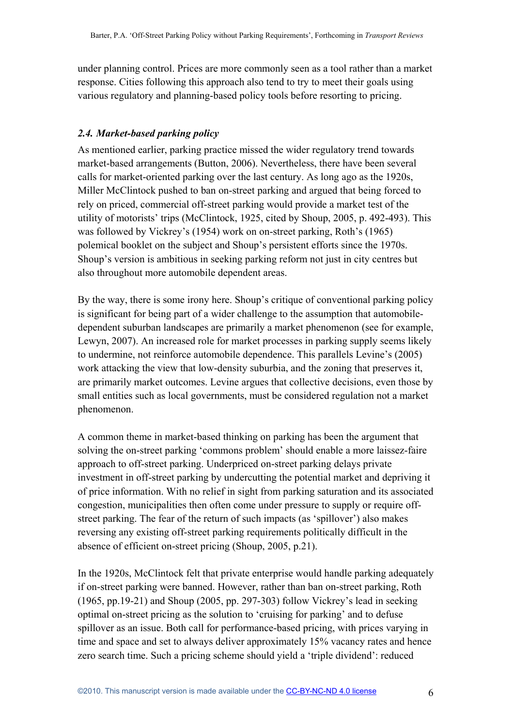under planning control. Prices are more commonly seen as a tool rather than a market response. Cities following this approach also tend to try to meet their goals using various regulatory and planning-based policy tools before resorting to pricing.

# *2.4. Market-based parking policy*

As mentioned earlier, parking practice missed the wider regulatory trend towards market-based arrangements (Button, 2006). Nevertheless, there have been several calls for market-oriented parking over the last century. As long ago as the 1920s, Miller McClintock pushed to ban on-street parking and argued that being forced to rely on priced, commercial off-street parking would provide a market test of the utility of motorists' trips (McClintock, 1925, cited by Shoup, 2005, p. 492-493). This was followed by Vickrey's (1954) work on on-street parking, Roth's (1965) polemical booklet on the subject and Shoup's persistent efforts since the 1970s. Shoup's version is ambitious in seeking parking reform not just in city centres but also throughout more automobile dependent areas.

By the way, there is some irony here. Shoup's critique of conventional parking policy is significant for being part of a wider challenge to the assumption that automobiledependent suburban landscapes are primarily a market phenomenon (see for example, Lewyn, 2007). An increased role for market processes in parking supply seems likely to undermine, not reinforce automobile dependence. This parallels Levine's (2005) work attacking the view that low-density suburbia, and the zoning that preserves it, are primarily market outcomes. Levine argues that collective decisions, even those by small entities such as local governments, must be considered regulation not a market phenomenon.

A common theme in market-based thinking on parking has been the argument that solving the on-street parking 'commons problem' should enable a more laissez-faire approach to off-street parking. Underpriced on-street parking delays private investment in off-street parking by undercutting the potential market and depriving it of price information. With no relief in sight from parking saturation and its associated congestion, municipalities then often come under pressure to supply or require offstreet parking. The fear of the return of such impacts (as 'spillover') also makes reversing any existing off-street parking requirements politically difficult in the absence of efficient on-street pricing (Shoup, 2005, p.21).

In the 1920s, McClintock felt that private enterprise would handle parking adequately if on-street parking were banned. However, rather than ban on-street parking, Roth (1965, pp.19-21) and Shoup (2005, pp. 297-303) follow Vickrey's lead in seeking optimal on-street pricing as the solution to 'cruising for parking' and to defuse spillover as an issue. Both call for performance-based pricing, with prices varying in time and space and set to always deliver approximately 15% vacancy rates and hence zero search time. Such a pricing scheme should yield a 'triple dividend': reduced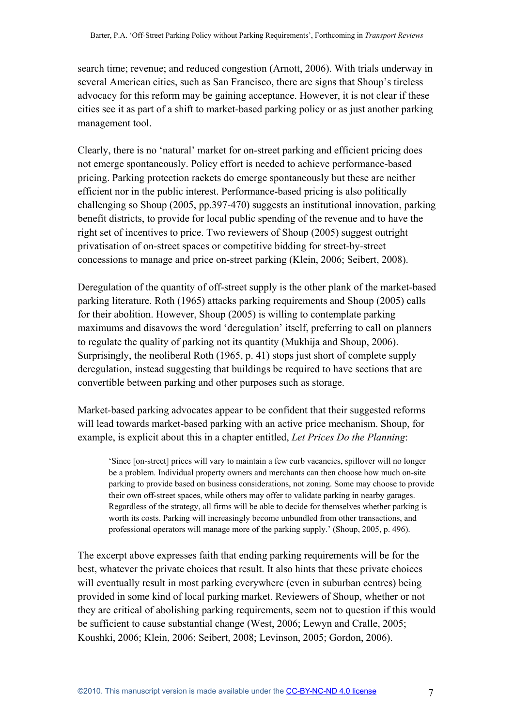search time; revenue; and reduced congestion (Arnott, 2006). With trials underway in several American cities, such as San Francisco, there are signs that Shoup's tireless advocacy for this reform may be gaining acceptance. However, it is not clear if these cities see it as part of a shift to market-based parking policy or as just another parking management tool.

Clearly, there is no 'natural' market for on-street parking and efficient pricing does not emerge spontaneously. Policy effort is needed to achieve performance-based pricing. Parking protection rackets do emerge spontaneously but these are neither efficient nor in the public interest. Performance-based pricing is also politically challenging so Shoup (2005, pp.397-470) suggests an institutional innovation, parking benefit districts, to provide for local public spending of the revenue and to have the right set of incentives to price. Two reviewers of Shoup (2005) suggest outright privatisation of on-street spaces or competitive bidding for street-by-street concessions to manage and price on-street parking (Klein, 2006; Seibert, 2008).

Deregulation of the quantity of off-street supply is the other plank of the market-based parking literature. Roth (1965) attacks parking requirements and Shoup (2005) calls for their abolition. However, Shoup (2005) is willing to contemplate parking maximums and disavows the word 'deregulation' itself, preferring to call on planners to regulate the quality of parking not its quantity (Mukhija and Shoup, 2006). Surprisingly, the neoliberal Roth (1965, p. 41) stops just short of complete supply deregulation, instead suggesting that buildings be required to have sections that are convertible between parking and other purposes such as storage.

Market-based parking advocates appear to be confident that their suggested reforms will lead towards market-based parking with an active price mechanism. Shoup, for example, is explicit about this in a chapter entitled, *Let Prices Do the Planning*:

'Since [on-street] prices will vary to maintain a few curb vacancies, spillover will no longer be a problem. Individual property owners and merchants can then choose how much on-site parking to provide based on business considerations, not zoning. Some may choose to provide their own off-street spaces, while others may offer to validate parking in nearby garages. Regardless of the strategy, all firms will be able to decide for themselves whether parking is worth its costs. Parking will increasingly become unbundled from other transactions, and professional operators will manage more of the parking supply.' (Shoup, 2005, p. 496).

The excerpt above expresses faith that ending parking requirements will be for the best, whatever the private choices that result. It also hints that these private choices will eventually result in most parking everywhere (even in suburban centres) being provided in some kind of local parking market. Reviewers of Shoup, whether or not they are critical of abolishing parking requirements, seem not to question if this would be sufficient to cause substantial change (West, 2006; Lewyn and Cralle, 2005; Koushki, 2006; Klein, 2006; Seibert, 2008; Levinson, 2005; Gordon, 2006).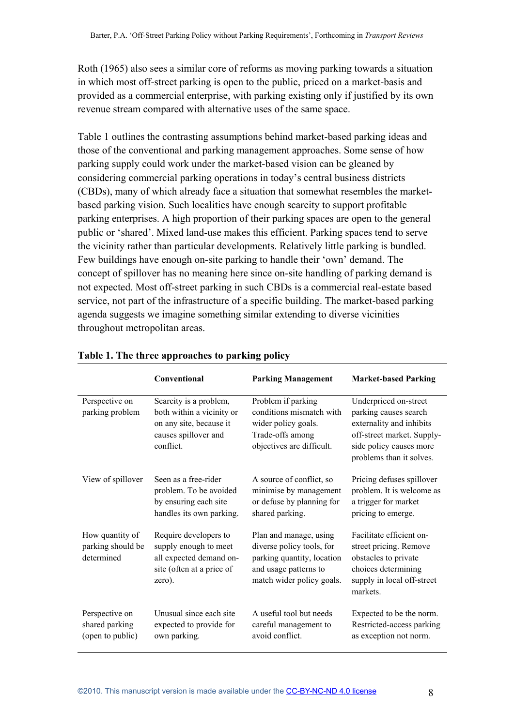Roth (1965) also sees a similar core of reforms as moving parking towards a situation in which most off-street parking is open to the public, priced on a market-basis and provided as a commercial enterprise, with parking existing only if justified by its own revenue stream compared with alternative uses of the same space.

Table 1 outlines the contrasting assumptions behind market-based parking ideas and those of the conventional and parking management approaches. Some sense of how parking supply could work under the market-based vision can be gleaned by considering commercial parking operations in today's central business districts (CBDs), many of which already face a situation that somewhat resembles the marketbased parking vision. Such localities have enough scarcity to support profitable parking enterprises. A high proportion of their parking spaces are open to the general public or 'shared'. Mixed land-use makes this efficient. Parking spaces tend to serve the vicinity rather than particular developments. Relatively little parking is bundled. Few buildings have enough on-site parking to handle their 'own' demand. The concept of spillover has no meaning here since on-site handling of parking demand is not expected. Most off-street parking in such CBDs is a commercial real-estate based service, not part of the infrastructure of a specific building. The market-based parking agenda suggests we imagine something similar extending to diverse vicinities throughout metropolitan areas.

|                                                      | Conventional                                                                                                        | <b>Parking Management</b>                                                                                                               | <b>Market-based Parking</b>                                                                                                                                     |
|------------------------------------------------------|---------------------------------------------------------------------------------------------------------------------|-----------------------------------------------------------------------------------------------------------------------------------------|-----------------------------------------------------------------------------------------------------------------------------------------------------------------|
| Perspective on<br>parking problem                    | Scarcity is a problem,<br>both within a vicinity or<br>on any site, because it<br>causes spillover and<br>conflict. | Problem if parking<br>conditions mismatch with<br>wider policy goals.<br>Trade-offs among<br>objectives are difficult.                  | Underpriced on-street<br>parking causes search<br>externality and inhibits<br>off-street market. Supply-<br>side policy causes more<br>problems than it solves. |
| View of spillover                                    | Seen as a free-rider<br>problem. To be avoided<br>by ensuring each site<br>handles its own parking.                 | A source of conflict, so<br>minimise by management<br>or defuse by planning for<br>shared parking.                                      | Pricing defuses spillover<br>problem. It is welcome as<br>a trigger for market<br>pricing to emerge.                                                            |
| How quantity of<br>parking should be<br>determined   | Require developers to<br>supply enough to meet<br>all expected demand on-<br>site (often at a price of<br>zero).    | Plan and manage, using<br>diverse policy tools, for<br>parking quantity, location<br>and usage patterns to<br>match wider policy goals. | Facilitate efficient on-<br>street pricing. Remove<br>obstacles to private<br>choices determining<br>supply in local off-street<br>markets.                     |
| Perspective on<br>shared parking<br>(open to public) | Unusual since each site<br>expected to provide for<br>own parking.                                                  | A useful tool but needs<br>careful management to<br>avoid conflict.                                                                     | Expected to be the norm.<br>Restricted-access parking<br>as exception not norm.                                                                                 |

#### **Table 1. The three approaches to parking policy**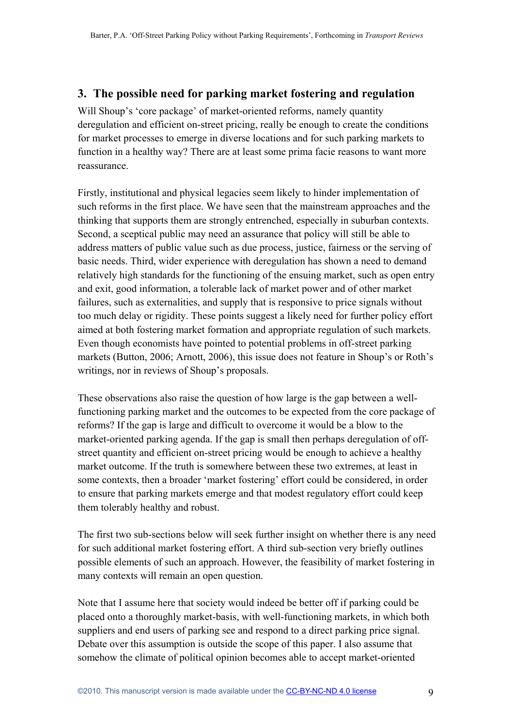# **3. The possible need for parking market fostering and regulation**

Will Shoup's 'core package' of market-oriented reforms, namely quantity deregulation and efficient on-street pricing, really be enough to create the conditions for market processes to emerge in diverse locations and for such parking markets to function in a healthy way? There are at least some prima facie reasons to want more reassurance.

Firstly, institutional and physical legacies seem likely to hinder implementation of such reforms in the first place. We have seen that the mainstream approaches and the thinking that supports them are strongly entrenched, especially in suburban contexts. Second, a sceptical public may need an assurance that policy will still be able to address matters of public value such as due process, justice, fairness or the serving of basic needs. Third, wider experience with deregulation has shown a need to demand relatively high standards for the functioning of the ensuing market, such as open entry and exit, good information, a tolerable lack of market power and of other market failures, such as externalities, and supply that is responsive to price signals without too much delay or rigidity. These points suggest a likely need for further policy effort aimed at both fostering market formation and appropriate regulation of such markets. Even though economists have pointed to potential problems in off-street parking markets (Button, 2006; Arnott, 2006), this issue does not feature in Shoup's or Roth's writings, nor in reviews of Shoup's proposals.

These observations also raise the question of how large is the gap between a wellfunctioning parking market and the outcomes to be expected from the core package of reforms? If the gap is large and difficult to overcome it would be a blow to the market-oriented parking agenda. If the gap is small then perhaps deregulation of offstreet quantity and efficient on-street pricing would be enough to achieve a healthy market outcome. If the truth is somewhere between these two extremes, at least in some contexts, then a broader 'market fostering' effort could be considered, in order to ensure that parking markets emerge and that modest regulatory effort could keep them tolerably healthy and robust.

The first two sub-sections below will seek further insight on whether there is any need for such additional market fostering effort. A third sub-section very briefly outlines possible elements of such an approach. However, the feasibility of market fostering in many contexts will remain an open question.

Note that I assume here that society would indeed be better off if parking could be placed onto a thoroughly market-basis, with well-functioning markets, in which both suppliers and end users of parking see and respond to a direct parking price signal. Debate over this assumption is outside the scope of this paper. I also assume that somehow the climate of political opinion becomes able to accept market-oriented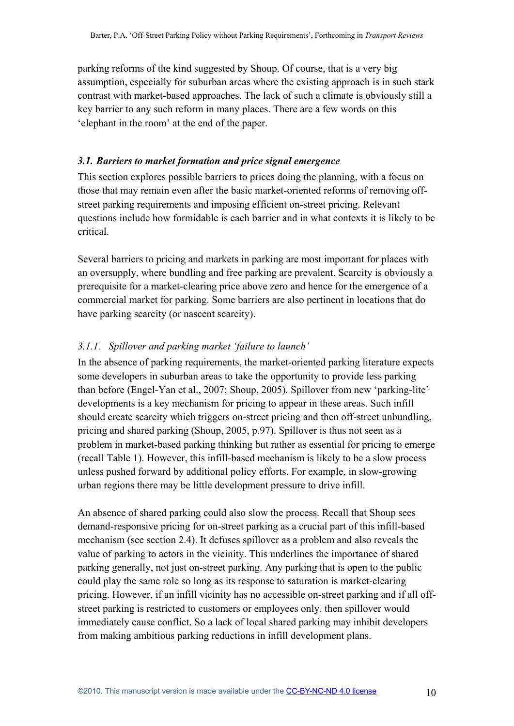parking reforms of the kind suggested by Shoup. Of course, that is a very big assumption, especially for suburban areas where the existing approach is in such stark contrast with market-based approaches. The lack of such a climate is obviously still a key barrier to any such reform in many places. There are a few words on this 'elephant in the room' at the end of the paper.

#### *3.1. Barriers to market formation and price signal emergence*

This section explores possible barriers to prices doing the planning, with a focus on those that may remain even after the basic market-oriented reforms of removing offstreet parking requirements and imposing efficient on-street pricing. Relevant questions include how formidable is each barrier and in what contexts it is likely to be critical.

Several barriers to pricing and markets in parking are most important for places with an oversupply, where bundling and free parking are prevalent. Scarcity is obviously a prerequisite for a market-clearing price above zero and hence for the emergence of a commercial market for parking. Some barriers are also pertinent in locations that do have parking scarcity (or nascent scarcity).

#### *3.1.1. Spillover and parking market 'failure to launch'*

In the absence of parking requirements, the market-oriented parking literature expects some developers in suburban areas to take the opportunity to provide less parking than before (Engel-Yan et al., 2007; Shoup, 2005). Spillover from new 'parking-lite' developments is a key mechanism for pricing to appear in these areas. Such infill should create scarcity which triggers on-street pricing and then off-street unbundling, pricing and shared parking (Shoup, 2005, p.97). Spillover is thus not seen as a problem in market-based parking thinking but rather as essential for pricing to emerge (recall Table 1). However, this infill-based mechanism is likely to be a slow process unless pushed forward by additional policy efforts. For example, in slow-growing urban regions there may be little development pressure to drive infill.

An absence of shared parking could also slow the process. Recall that Shoup sees demand-responsive pricing for on-street parking as a crucial part of this infill-based mechanism (see section 2.4). It defuses spillover as a problem and also reveals the value of parking to actors in the vicinity. This underlines the importance of shared parking generally, not just on-street parking. Any parking that is open to the public could play the same role so long as its response to saturation is market-clearing pricing. However, if an infill vicinity has no accessible on-street parking and if all offstreet parking is restricted to customers or employees only, then spillover would immediately cause conflict. So a lack of local shared parking may inhibit developers from making ambitious parking reductions in infill development plans.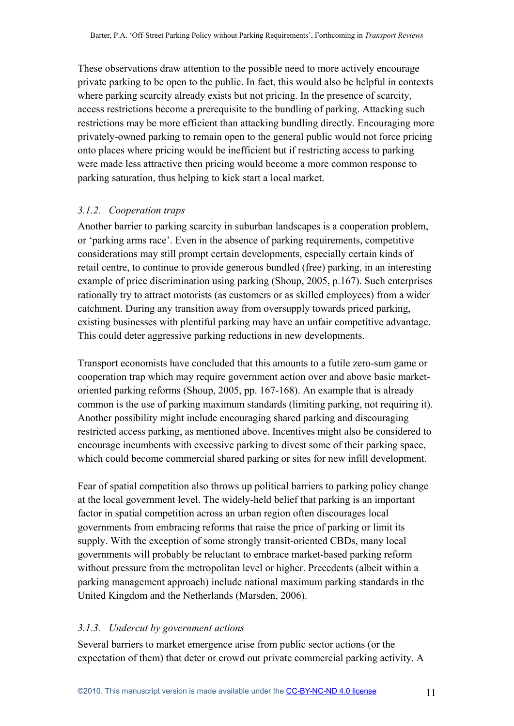These observations draw attention to the possible need to more actively encourage private parking to be open to the public. In fact, this would also be helpful in contexts where parking scarcity already exists but not pricing. In the presence of scarcity, access restrictions become a prerequisite to the bundling of parking. Attacking such restrictions may be more efficient than attacking bundling directly. Encouraging more privately-owned parking to remain open to the general public would not force pricing onto places where pricing would be inefficient but if restricting access to parking were made less attractive then pricing would become a more common response to parking saturation, thus helping to kick start a local market.

#### *3.1.2. Cooperation traps*

Another barrier to parking scarcity in suburban landscapes is a cooperation problem, or 'parking arms race'. Even in the absence of parking requirements, competitive considerations may still prompt certain developments, especially certain kinds of retail centre, to continue to provide generous bundled (free) parking, in an interesting example of price discrimination using parking (Shoup, 2005, p.167). Such enterprises rationally try to attract motorists (as customers or as skilled employees) from a wider catchment. During any transition away from oversupply towards priced parking, existing businesses with plentiful parking may have an unfair competitive advantage. This could deter aggressive parking reductions in new developments.

Transport economists have concluded that this amounts to a futile zero-sum game or cooperation trap which may require government action over and above basic marketoriented parking reforms (Shoup, 2005, pp. 167-168). An example that is already common is the use of parking maximum standards (limiting parking, not requiring it). Another possibility might include encouraging shared parking and discouraging restricted access parking, as mentioned above. Incentives might also be considered to encourage incumbents with excessive parking to divest some of their parking space, which could become commercial shared parking or sites for new infill development.

Fear of spatial competition also throws up political barriers to parking policy change at the local government level. The widely-held belief that parking is an important factor in spatial competition across an urban region often discourages local governments from embracing reforms that raise the price of parking or limit its supply. With the exception of some strongly transit-oriented CBDs, many local governments will probably be reluctant to embrace market-based parking reform without pressure from the metropolitan level or higher. Precedents (albeit within a parking management approach) include national maximum parking standards in the United Kingdom and the Netherlands (Marsden, 2006).

#### *3.1.3. Undercut by government actions*

Several barriers to market emergence arise from public sector actions (or the expectation of them) that deter or crowd out private commercial parking activity. A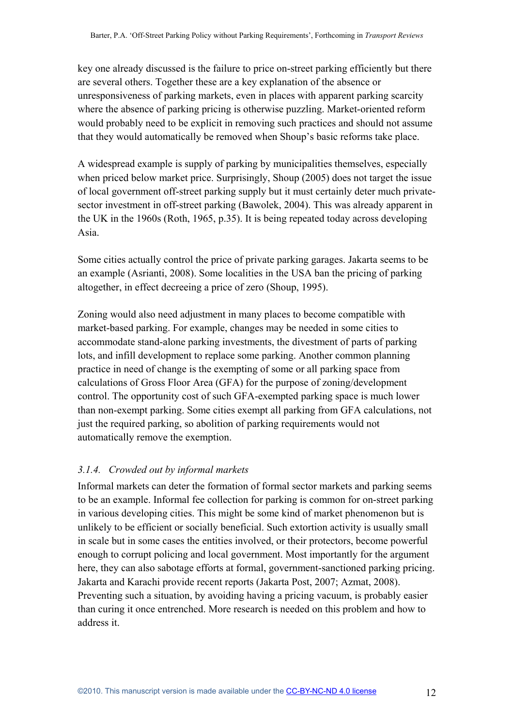key one already discussed is the failure to price on-street parking efficiently but there are several others. Together these are a key explanation of the absence or unresponsiveness of parking markets, even in places with apparent parking scarcity where the absence of parking pricing is otherwise puzzling. Market-oriented reform would probably need to be explicit in removing such practices and should not assume that they would automatically be removed when Shoup's basic reforms take place.

A widespread example is supply of parking by municipalities themselves, especially when priced below market price. Surprisingly, Shoup (2005) does not target the issue of local government off-street parking supply but it must certainly deter much privatesector investment in off-street parking (Bawolek, 2004). This was already apparent in the UK in the 1960s (Roth, 1965, p.35). It is being repeated today across developing Asia.

Some cities actually control the price of private parking garages. Jakarta seems to be an example (Asrianti, 2008). Some localities in the USA ban the pricing of parking altogether, in effect decreeing a price of zero (Shoup, 1995).

Zoning would also need adjustment in many places to become compatible with market-based parking. For example, changes may be needed in some cities to accommodate stand-alone parking investments, the divestment of parts of parking lots, and infill development to replace some parking. Another common planning practice in need of change is the exempting of some or all parking space from calculations of Gross Floor Area (GFA) for the purpose of zoning/development control. The opportunity cost of such GFA-exempted parking space is much lower than non-exempt parking. Some cities exempt all parking from GFA calculations, not just the required parking, so abolition of parking requirements would not automatically remove the exemption.

#### *3.1.4. Crowded out by informal markets*

Informal markets can deter the formation of formal sector markets and parking seems to be an example. Informal fee collection for parking is common for on-street parking in various developing cities. This might be some kind of market phenomenon but is unlikely to be efficient or socially beneficial. Such extortion activity is usually small in scale but in some cases the entities involved, or their protectors, become powerful enough to corrupt policing and local government. Most importantly for the argument here, they can also sabotage efforts at formal, government-sanctioned parking pricing. Jakarta and Karachi provide recent reports (Jakarta Post, 2007; Azmat, 2008). Preventing such a situation, by avoiding having a pricing vacuum, is probably easier than curing it once entrenched. More research is needed on this problem and how to address it.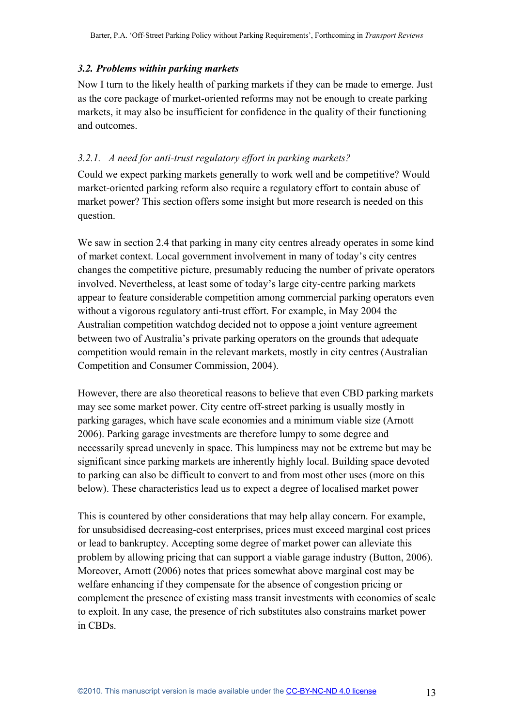### *3.2. Problems within parking markets*

Now I turn to the likely health of parking markets if they can be made to emerge. Just as the core package of market-oriented reforms may not be enough to create parking markets, it may also be insufficient for confidence in the quality of their functioning and outcomes.

### *3.2.1. A need for anti-trust regulatory effort in parking markets?*

Could we expect parking markets generally to work well and be competitive? Would market-oriented parking reform also require a regulatory effort to contain abuse of market power? This section offers some insight but more research is needed on this question.

We saw in section 2.4 that parking in many city centres already operates in some kind of market context. Local government involvement in many of today's city centres changes the competitive picture, presumably reducing the number of private operators involved. Nevertheless, at least some of today's large city-centre parking markets appear to feature considerable competition among commercial parking operators even without a vigorous regulatory anti-trust effort. For example, in May 2004 the Australian competition watchdog decided not to oppose a joint venture agreement between two of Australia's private parking operators on the grounds that adequate competition would remain in the relevant markets, mostly in city centres (Australian Competition and Consumer Commission, 2004).

However, there are also theoretical reasons to believe that even CBD parking markets may see some market power. City centre off-street parking is usually mostly in parking garages, which have scale economies and a minimum viable size (Arnott 2006). Parking garage investments are therefore lumpy to some degree and necessarily spread unevenly in space. This lumpiness may not be extreme but may be significant since parking markets are inherently highly local. Building space devoted to parking can also be difficult to convert to and from most other uses (more on this below). These characteristics lead us to expect a degree of localised market power

This is countered by other considerations that may help allay concern. For example, for unsubsidised decreasing-cost enterprises, prices must exceed marginal cost prices or lead to bankruptcy. Accepting some degree of market power can alleviate this problem by allowing pricing that can support a viable garage industry (Button, 2006). Moreover, Arnott (2006) notes that prices somewhat above marginal cost may be welfare enhancing if they compensate for the absence of congestion pricing or complement the presence of existing mass transit investments with economies of scale to exploit. In any case, the presence of rich substitutes also constrains market power in CBDs.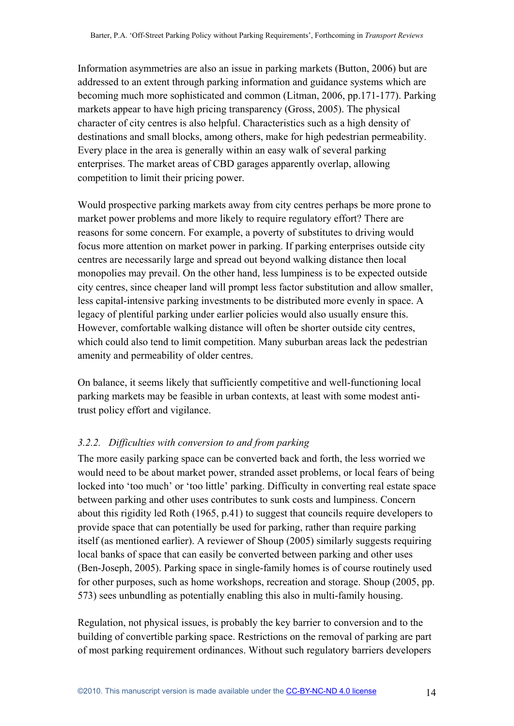Information asymmetries are also an issue in parking markets (Button, 2006) but are addressed to an extent through parking information and guidance systems which are becoming much more sophisticated and common (Litman, 2006, pp.171-177). Parking markets appear to have high pricing transparency (Gross, 2005). The physical character of city centres is also helpful. Characteristics such as a high density of destinations and small blocks, among others, make for high pedestrian permeability. Every place in the area is generally within an easy walk of several parking enterprises. The market areas of CBD garages apparently overlap, allowing competition to limit their pricing power.

Would prospective parking markets away from city centres perhaps be more prone to market power problems and more likely to require regulatory effort? There are reasons for some concern. For example, a poverty of substitutes to driving would focus more attention on market power in parking. If parking enterprises outside city centres are necessarily large and spread out beyond walking distance then local monopolies may prevail. On the other hand, less lumpiness is to be expected outside city centres, since cheaper land will prompt less factor substitution and allow smaller, less capital-intensive parking investments to be distributed more evenly in space. A legacy of plentiful parking under earlier policies would also usually ensure this. However, comfortable walking distance will often be shorter outside city centres, which could also tend to limit competition. Many suburban areas lack the pedestrian amenity and permeability of older centres.

On balance, it seems likely that sufficiently competitive and well-functioning local parking markets may be feasible in urban contexts, at least with some modest antitrust policy effort and vigilance.

### *3.2.2. Difficulties with conversion to and from parking*

The more easily parking space can be converted back and forth, the less worried we would need to be about market power, stranded asset problems, or local fears of being locked into 'too much' or 'too little' parking. Difficulty in converting real estate space between parking and other uses contributes to sunk costs and lumpiness. Concern about this rigidity led Roth (1965, p.41) to suggest that councils require developers to provide space that can potentially be used for parking, rather than require parking itself (as mentioned earlier). A reviewer of Shoup (2005) similarly suggests requiring local banks of space that can easily be converted between parking and other uses (Ben-Joseph, 2005). Parking space in single-family homes is of course routinely used for other purposes, such as home workshops, recreation and storage. Shoup (2005, pp. 573) sees unbundling as potentially enabling this also in multi-family housing.

Regulation, not physical issues, is probably the key barrier to conversion and to the building of convertible parking space. Restrictions on the removal of parking are part of most parking requirement ordinances. Without such regulatory barriers developers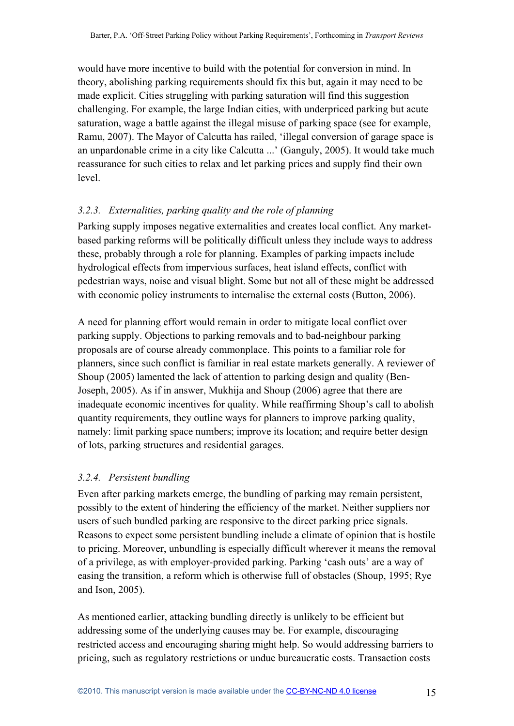would have more incentive to build with the potential for conversion in mind. In theory, abolishing parking requirements should fix this but, again it may need to be made explicit. Cities struggling with parking saturation will find this suggestion challenging. For example, the large Indian cities, with underpriced parking but acute saturation, wage a battle against the illegal misuse of parking space (see for example, Ramu, 2007). The Mayor of Calcutta has railed, 'illegal conversion of garage space is an unpardonable crime in a city like Calcutta ...' (Ganguly, 2005). It would take much reassurance for such cities to relax and let parking prices and supply find their own level.

# *3.2.3. Externalities, parking quality and the role of planning*

Parking supply imposes negative externalities and creates local conflict. Any marketbased parking reforms will be politically difficult unless they include ways to address these, probably through a role for planning. Examples of parking impacts include hydrological effects from impervious surfaces, heat island effects, conflict with pedestrian ways, noise and visual blight. Some but not all of these might be addressed with economic policy instruments to internalise the external costs (Button, 2006).

A need for planning effort would remain in order to mitigate local conflict over parking supply. Objections to parking removals and to bad-neighbour parking proposals are of course already commonplace. This points to a familiar role for planners, since such conflict is familiar in real estate markets generally. A reviewer of Shoup (2005) lamented the lack of attention to parking design and quality (Ben-Joseph, 2005). As if in answer, Mukhija and Shoup (2006) agree that there are inadequate economic incentives for quality. While reaffirming Shoup's call to abolish quantity requirements, they outline ways for planners to improve parking quality, namely: limit parking space numbers; improve its location; and require better design of lots, parking structures and residential garages.

# *3.2.4. Persistent bundling*

Even after parking markets emerge, the bundling of parking may remain persistent, possibly to the extent of hindering the efficiency of the market. Neither suppliers nor users of such bundled parking are responsive to the direct parking price signals. Reasons to expect some persistent bundling include a climate of opinion that is hostile to pricing. Moreover, unbundling is especially difficult wherever it means the removal of a privilege, as with employer-provided parking. Parking 'cash outs' are a way of easing the transition, a reform which is otherwise full of obstacles (Shoup, 1995; Rye and Ison, 2005).

As mentioned earlier, attacking bundling directly is unlikely to be efficient but addressing some of the underlying causes may be. For example, discouraging restricted access and encouraging sharing might help. So would addressing barriers to pricing, such as regulatory restrictions or undue bureaucratic costs. Transaction costs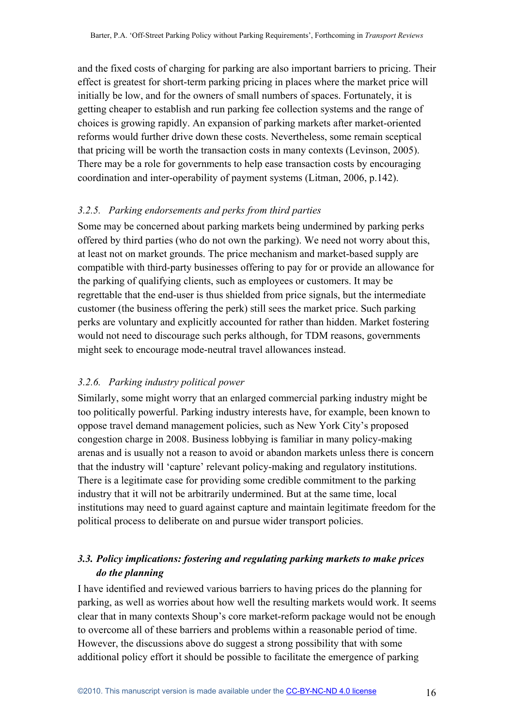and the fixed costs of charging for parking are also important barriers to pricing. Their effect is greatest for short-term parking pricing in places where the market price will initially be low, and for the owners of small numbers of spaces. Fortunately, it is getting cheaper to establish and run parking fee collection systems and the range of choices is growing rapidly. An expansion of parking markets after market-oriented reforms would further drive down these costs. Nevertheless, some remain sceptical that pricing will be worth the transaction costs in many contexts (Levinson, 2005). There may be a role for governments to help ease transaction costs by encouraging coordination and inter-operability of payment systems (Litman, 2006, p.142).

#### *3.2.5. Parking endorsements and perks from third parties*

Some may be concerned about parking markets being undermined by parking perks offered by third parties (who do not own the parking). We need not worry about this, at least not on market grounds. The price mechanism and market-based supply are compatible with third-party businesses offering to pay for or provide an allowance for the parking of qualifying clients, such as employees or customers. It may be regrettable that the end-user is thus shielded from price signals, but the intermediate customer (the business offering the perk) still sees the market price. Such parking perks are voluntary and explicitly accounted for rather than hidden. Market fostering would not need to discourage such perks although, for TDM reasons, governments might seek to encourage mode-neutral travel allowances instead.

#### *3.2.6. Parking industry political power*

Similarly, some might worry that an enlarged commercial parking industry might be too politically powerful. Parking industry interests have, for example, been known to oppose travel demand management policies, such as New York City's proposed congestion charge in 2008. Business lobbying is familiar in many policy-making arenas and is usually not a reason to avoid or abandon markets unless there is concern that the industry will 'capture' relevant policy-making and regulatory institutions. There is a legitimate case for providing some credible commitment to the parking industry that it will not be arbitrarily undermined. But at the same time, local institutions may need to guard against capture and maintain legitimate freedom for the political process to deliberate on and pursue wider transport policies.

# *3.3. Policy implications: fostering and regulating parking markets to make prices do the planning*

I have identified and reviewed various barriers to having prices do the planning for parking, as well as worries about how well the resulting markets would work. It seems clear that in many contexts Shoup's core market-reform package would not be enough to overcome all of these barriers and problems within a reasonable period of time. However, the discussions above do suggest a strong possibility that with some additional policy effort it should be possible to facilitate the emergence of parking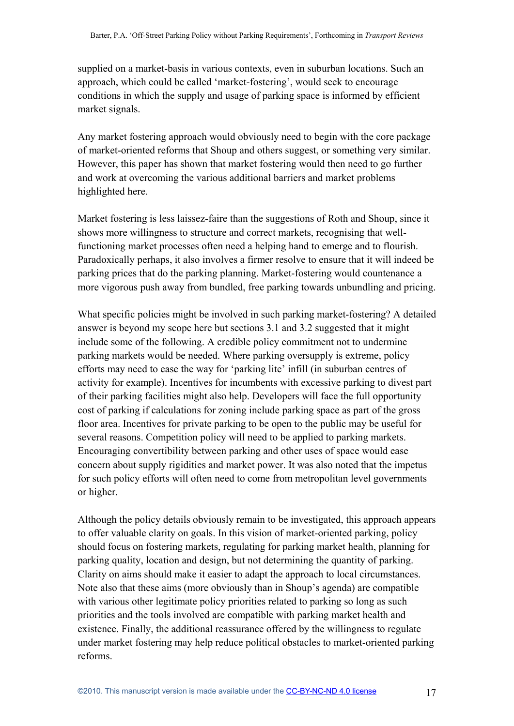supplied on a market-basis in various contexts, even in suburban locations. Such an approach, which could be called 'market-fostering', would seek to encourage conditions in which the supply and usage of parking space is informed by efficient market signals.

Any market fostering approach would obviously need to begin with the core package of market-oriented reforms that Shoup and others suggest, or something very similar. However, this paper has shown that market fostering would then need to go further and work at overcoming the various additional barriers and market problems highlighted here.

Market fostering is less laissez-faire than the suggestions of Roth and Shoup, since it shows more willingness to structure and correct markets, recognising that wellfunctioning market processes often need a helping hand to emerge and to flourish. Paradoxically perhaps, it also involves a firmer resolve to ensure that it will indeed be parking prices that do the parking planning. Market-fostering would countenance a more vigorous push away from bundled, free parking towards unbundling and pricing.

What specific policies might be involved in such parking market-fostering? A detailed answer is beyond my scope here but sections 3.1 and 3.2 suggested that it might include some of the following. A credible policy commitment not to undermine parking markets would be needed. Where parking oversupply is extreme, policy efforts may need to ease the way for 'parking lite' infill (in suburban centres of activity for example). Incentives for incumbents with excessive parking to divest part of their parking facilities might also help. Developers will face the full opportunity cost of parking if calculations for zoning include parking space as part of the gross floor area. Incentives for private parking to be open to the public may be useful for several reasons. Competition policy will need to be applied to parking markets. Encouraging convertibility between parking and other uses of space would ease concern about supply rigidities and market power. It was also noted that the impetus for such policy efforts will often need to come from metropolitan level governments or higher.

Although the policy details obviously remain to be investigated, this approach appears to offer valuable clarity on goals. In this vision of market-oriented parking, policy should focus on fostering markets, regulating for parking market health, planning for parking quality, location and design, but not determining the quantity of parking. Clarity on aims should make it easier to adapt the approach to local circumstances. Note also that these aims (more obviously than in Shoup's agenda) are compatible with various other legitimate policy priorities related to parking so long as such priorities and the tools involved are compatible with parking market health and existence. Finally, the additional reassurance offered by the willingness to regulate under market fostering may help reduce political obstacles to market-oriented parking reforms.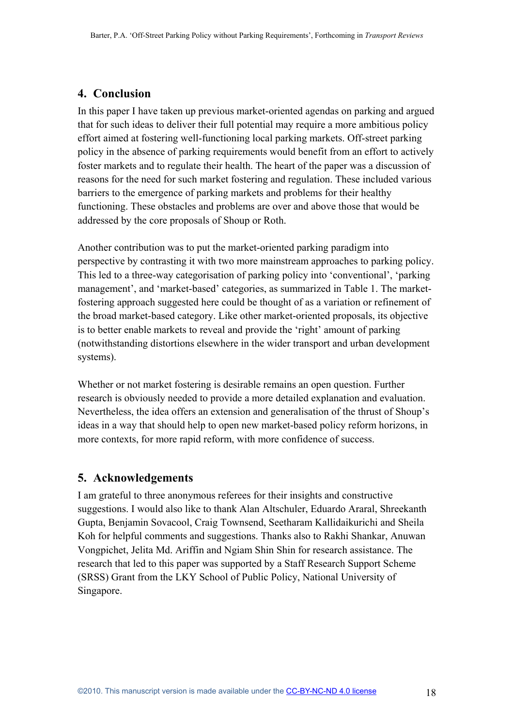### **4. Conclusion**

In this paper I have taken up previous market-oriented agendas on parking and argued that for such ideas to deliver their full potential may require a more ambitious policy effort aimed at fostering well-functioning local parking markets. Off-street parking policy in the absence of parking requirements would benefit from an effort to actively foster markets and to regulate their health. The heart of the paper was a discussion of reasons for the need for such market fostering and regulation. These included various barriers to the emergence of parking markets and problems for their healthy functioning. These obstacles and problems are over and above those that would be addressed by the core proposals of Shoup or Roth.

Another contribution was to put the market-oriented parking paradigm into perspective by contrasting it with two more mainstream approaches to parking policy. This led to a three-way categorisation of parking policy into 'conventional', 'parking management', and 'market-based' categories, as summarized in Table 1. The marketfostering approach suggested here could be thought of as a variation or refinement of the broad market-based category. Like other market-oriented proposals, its objective is to better enable markets to reveal and provide the 'right' amount of parking (notwithstanding distortions elsewhere in the wider transport and urban development systems).

Whether or not market fostering is desirable remains an open question. Further research is obviously needed to provide a more detailed explanation and evaluation. Nevertheless, the idea offers an extension and generalisation of the thrust of Shoup's ideas in a way that should help to open new market-based policy reform horizons, in more contexts, for more rapid reform, with more confidence of success.

# **5. Acknowledgements**

I am grateful to three anonymous referees for their insights and constructive suggestions. I would also like to thank Alan Altschuler, Eduardo Araral, Shreekanth Gupta, Benjamin Sovacool, Craig Townsend, Seetharam Kallidaikurichi and Sheila Koh for helpful comments and suggestions. Thanks also to Rakhi Shankar, Anuwan Vongpichet, Jelita Md. Ariffin and Ngiam Shin Shin for research assistance. The research that led to this paper was supported by a Staff Research Support Scheme (SRSS) Grant from the LKY School of Public Policy, National University of Singapore.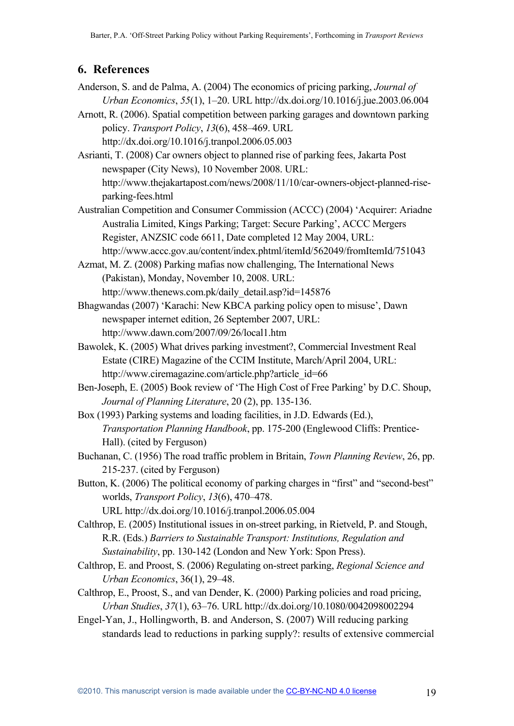# **6. References**

- Anderson, S. and de Palma, A. (2004) The economics of pricing parking, *Journal of Urban Economics*, *55*(1), 1–20. URL http://dx.doi.org/10.1016/j.jue.2003.06.004
- Arnott, R. (2006). Spatial competition between parking garages and downtown parking policy. *Transport Policy*, *13*(6), 458–469. URL http://dx.doi.org/10.1016/j.tranpol.2006.05.003
- Asrianti, T. (2008) Car owners object to planned rise of parking fees, Jakarta Post newspaper (City News), 10 November 2008. URL: http://www.thejakartapost.com/news/2008/11/10/car-owners-object-planned-riseparking-fees.html
- Australian Competition and Consumer Commission (ACCC) (2004) 'Acquirer: Ariadne Australia Limited, Kings Parking; Target: Secure Parking', ACCC Mergers Register, ANZSIC code 6611, Date completed 12 May 2004, URL: http://www.accc.gov.au/content/index.phtml/itemId/562049/fromItemId/751043
- Azmat, M. Z. (2008) Parking mafias now challenging, The International News (Pakistan), Monday, November 10, 2008. URL: http://www.thenews.com.pk/daily\_detail.asp?id=145876
- Bhagwandas (2007) 'Karachi: New KBCA parking policy open to misuse', Dawn newspaper internet edition, 26 September 2007, URL: http://www.dawn.com/2007/09/26/local1.htm
- Bawolek, K. (2005) What drives parking investment?, Commercial Investment Real Estate (CIRE) Magazine of the CCIM Institute, March/April 2004, URL: http://www.ciremagazine.com/article.php?article\_id=66
- Ben-Joseph, E. (2005) Book review of 'The High Cost of Free Parking' by D.C. Shoup, *Journal of Planning Literature*, 20 (2), pp. 135-136.
- Box (1993) Parking systems and loading facilities, in J.D. Edwards (Ed.), *Transportation Planning Handbook*, pp. 175-200 (Englewood Cliffs: Prentice-Hall). (cited by Ferguson)
- Buchanan, C. (1956) The road traffic problem in Britain, *Town Planning Review*, 26, pp. 215-237. (cited by Ferguson)
- Button, K. (2006) The political economy of parking charges in "first" and "second-best" worlds, *Transport Policy*, *13*(6), 470–478.
	- URL http://dx.doi.org/10.1016/j.tranpol.2006.05.004
- Calthrop, E. (2005) Institutional issues in on-street parking, in Rietveld, P. and Stough, R.R. (Eds.) *Barriers to Sustainable Transport: Institutions, Regulation and Sustainability*, pp. 130-142 (London and New York: Spon Press).
- Calthrop, E. and Proost, S. (2006) Regulating on-street parking, *Regional Science and Urban Economics*, 36(1), 29–48.
- Calthrop, E., Proost, S., and van Dender, K. (2000) Parking policies and road pricing, *Urban Studies*, *37*(1), 63–76. URL http://dx.doi.org/10.1080/0042098002294
- Engel-Yan, J., Hollingworth, B. and Anderson, S. (2007) Will reducing parking standards lead to reductions in parking supply?: results of extensive commercial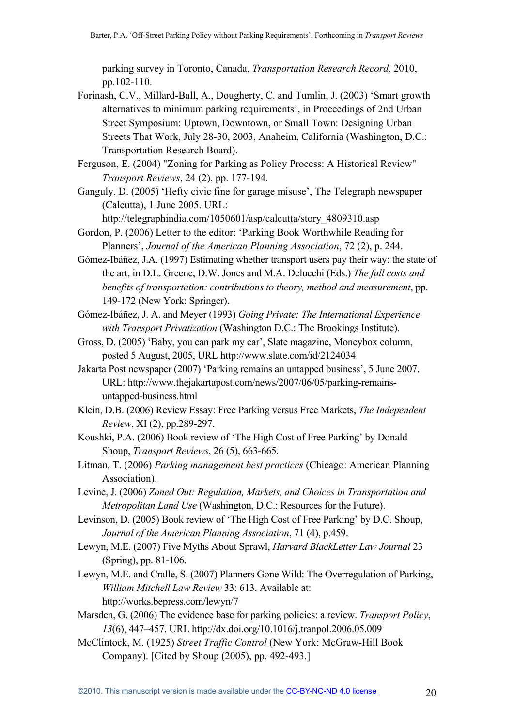parking survey in Toronto, Canada, *Transportation Research Record*, 2010, pp.102-110.

- Forinash, C.V., Millard-Ball, A., Dougherty, C. and Tumlin, J. (2003) 'Smart growth alternatives to minimum parking requirements', in Proceedings of 2nd Urban Street Symposium: Uptown, Downtown, or Small Town: Designing Urban Streets That Work, July 28-30, 2003, Anaheim, California (Washington, D.C.: Transportation Research Board).
- Ferguson, E. (2004) "Zoning for Parking as Policy Process: A Historical Review" *Transport Reviews*, 24 (2), pp. 177-194.
- Ganguly, D. (2005) 'Hefty civic fine for garage misuse', The Telegraph newspaper (Calcutta), 1 June 2005. URL:

http://telegraphindia.com/1050601/asp/calcutta/story\_4809310.asp

- Gordon, P. (2006) Letter to the editor: 'Parking Book Worthwhile Reading for Planners', *Journal of the American Planning Association*, 72 (2), p. 244.
- Gómez-Ibáñez, J.A. (1997) Estimating whether transport users pay their way: the state of the art, in D.L. Greene, D.W. Jones and M.A. Delucchi (Eds.) *The full costs and benefits of transportation: contributions to theory, method and measurement*, pp. 149-172 (New York: Springer).

Gómez-Ibáñez, J. A. and Meyer (1993) *Going Private: The International Experience with Transport Privatization* (Washington D.C.: The Brookings Institute).

- Gross, D. (2005) 'Baby, you can park my car', Slate magazine, Moneybox column, posted 5 August, 2005, URL http://www.slate.com/id/2124034
- Jakarta Post newspaper (2007) 'Parking remains an untapped business', 5 June 2007. URL: http://www.thejakartapost.com/news/2007/06/05/parking-remainsuntapped-business.html
- Klein, D.B. (2006) Review Essay: Free Parking versus Free Markets, *The Independent Review*, XI (2), pp.289-297.
- Koushki, P.A. (2006) Book review of 'The High Cost of Free Parking' by Donald Shoup, *Transport Reviews*, 26 (5), 663-665.
- Litman, T. (2006) *Parking management best practices* (Chicago: American Planning Association).
- Levine, J. (2006) *Zoned Out: Regulation, Markets, and Choices in Transportation and Metropolitan Land Use* (Washington, D.C.: Resources for the Future).
- Levinson, D. (2005) Book review of 'The High Cost of Free Parking' by D.C. Shoup, *Journal of the American Planning Association*, 71 (4), p.459.
- Lewyn, M.E. (2007) Five Myths About Sprawl, *Harvard BlackLetter Law Journal* 23 (Spring), pp. 81-106.
- Lewyn, M.E. and Cralle, S. (2007) Planners Gone Wild: The Overregulation of Parking, *William Mitchell Law Review* 33: 613. Available at: http://works.bepress.com/lewyn/7
- Marsden, G. (2006) The evidence base for parking policies: a review. *Transport Policy*, *13*(6), 447–457. URL http://dx.doi.org/10.1016/j.tranpol.2006.05.009
- McClintock, M. (1925) *Street Traffic Control* (New York: McGraw-Hill Book Company). [Cited by Shoup (2005), pp. 492-493.]